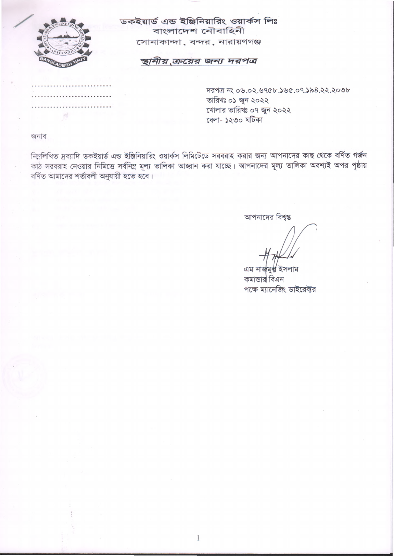

 $\mathbb{R}^2$ 

ডকইয়ার্ড এন্ড ইঞ্জিনিয়ারিং ওয়ার্কস লিঃ বাংলাদেশ নৌবাহিনী সোনাকান্দা, বন্দর, নারায়ণগঞ্জ

# স্থানীয় ক্রয়ের জন্য দরপত্র

দরপত্র নং ০৬.০২.৬৭৫৮.১৬৫.০৭.১৯৪.২২.২০৩৮ তারিখঃ ০১ জুন ২০২২ খোলার তারিখঃ ০৭ জুন ২০২২ বেলা- ১২৩০ ঘটিকা

জনাব

নিম্নলিখিত দ্রব্যাদি ডকইয়ার্ড এন্ড ইঞ্জিনিয়ারিং ওয়ার্কস লিমিটেডে সরবরাহ করার জন্য আপনাদের কাছ থেকে বর্ণিত গর্জন কাঠ সরবরাহ নেওয়ার নিমিত্তে সর্বনিম্ন মূল্য তালিকা আহ্বান করা যাচ্ছে। আপনাদের মূল্য তালিকা অবশ্যই অপর পৃষ্ঠায় বৰ্ণিত আমাদের শৰ্তাবলী অনুযায়ী হতে হবে।

আপনাদের বিশ্বস্ত

এম নাৰ্জমৰ্ল ইসলাম কমান্ডার বিএন পক্ষে ম্যানেজিং ডাইরেক্টর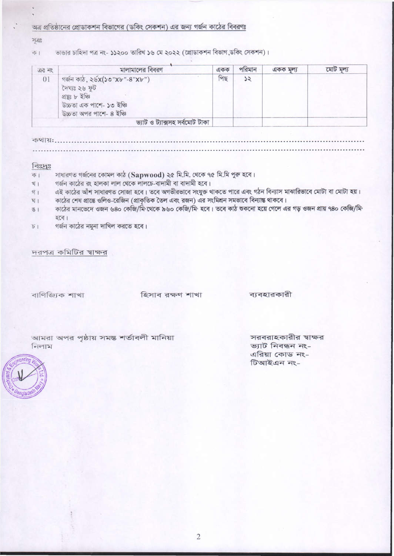# অত্র প্রতিষ্ঠানের প্রোডাকশন বিভাগের (ডকিং সেকশন) এর জন্য গর্জন কাঠের বিবরণঃ

अंत:

ভান্ডার চাহিদা পত্র নং- ১১২০০ তারিখ ১৬ মে ২০২২ (প্রোডাকশন বিভাগ,ডকিং সেকশন)।  $\overline{\Phi}$  |

| 0.0000         | মালামালের বিবরণ                                                                                                              | $\mathbb{Q} \oplus \mathbb{Q}$ | পারমান | একক মলা | মোট মল্য |
|----------------|------------------------------------------------------------------------------------------------------------------------------|--------------------------------|--------|---------|----------|
| 0 <sub>1</sub> | গৰ্জন কাঠ, ২৬ $X(50"Xb"-8"Xb")$<br>টক ৬২ গ্রাস্ট<br>প্ৰযুগ্ত ৮ ইঞ্চি<br>উচ্চতা এক পাশে- ১৩ ইঞ্চি<br>উচ্চতা অপর পাশে- ৪ ইঞ্চি | পিছ                            | 25     |         |          |
|                | ভ্যাট ও ট্যাক্সসহ সৰ্বমোট টাকা                                                                                               |                                |        |         |          |

কথায়:

### विध्यु:

- সাধারণত গর্জনের কোমল কাঠ (Sapwood) ২৫ মি.মি. থেকে ৭৫ মি.মি পুরু হবে।  $\sqrt{5}$
- গৰ্জন কাঠের রং হালকা লাল থেকে লালচে-বাদামী বা বাদামী হবে।  $\frac{1}{2}$
- এই কাঠের আঁশ সাধারণত সোজা হবে। তবে অগভীরভাবে সংযুক্ত থাকতে পারে এবং গঠন বিন্যাস মাঝারিভাবে মোটা বা মোটা হয়। গ $1$
- কাঠের শেষ প্রান্তে ওলিও-রেজিন (প্রাকৃতিক তৈল এবং রজন) এর সংমিশ্রন সমভাবে বিন্যান্ত থাকবে।  $\overline{N}$
- কাঠের মানভেদে ওজন ৬৪০ কেজি/মি থেকে ৯৬০ কেজি/মি হবে। তবে কাঠ শুকনো হয়ে গেলে এর গড় ওজন প্রায় ৭৪০ কেজি/মি  $81$ হবে।
- গৰ্জন কাঠের নমুনা দাখিল করতে হবে।  $\overline{D}$

দরপত্র কমিটির স্বাক্ষর

বাণিজ্যিক শাখা

হিসাব রক্ষণ শাখা

ব্যবহারকারী

আমরা অপর পৃষ্ঠায় সমন্ত শর্তাবলী মানিয়া  $F = \frac{1}{2}$ 

সরবরাহকারীর স্বাক্ষর ভ্যাট নিবন্ধন নং-এরিয়া কোড নং-টিআইএন নং-

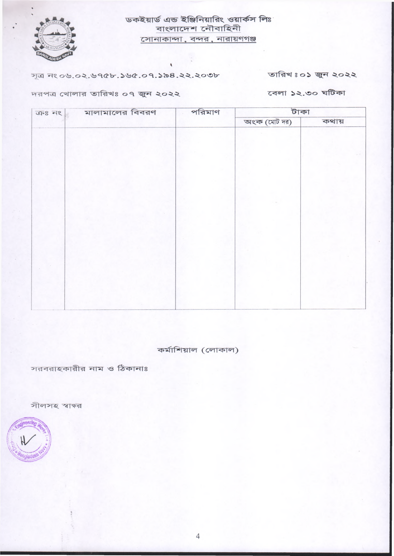

# ডকইয়ার্ড এন্ড ইঞ্জিনিয়ারিং ওয়ার্কস লিঃ বাংলাদেশ নৌবাহিনী সোনাকান্দা, বন্দর, নারায়ণগঞ্জ

সূত্র নং ০৬.০২.৬৭৫৮.১৬৫.০৭.১৯৪.২২.২০৩৮

তারিখঃ০১ জুন ২০২২

দরপত্র খোলার তারিখঃ ০৭ জুন ২০২২

বেলা ১২.৩০ ঘটিকা

| মালামালের বিবরণ<br>$T=8.5$ | পরিমাণ | টাকা         |       |  |
|----------------------------|--------|--------------|-------|--|
|                            |        | অংক (মোট দর) | কথায় |  |
|                            |        |              |       |  |
|                            |        |              |       |  |
|                            |        |              |       |  |
|                            |        |              |       |  |
|                            |        |              |       |  |
|                            |        |              |       |  |
|                            |        |              |       |  |
|                            |        |              |       |  |
|                            |        |              |       |  |
|                            |        |              |       |  |
|                            |        |              |       |  |
|                            |        |              |       |  |
|                            |        |              |       |  |
|                            |        |              |       |  |
|                            |        |              |       |  |
|                            |        |              |       |  |
|                            |        |              |       |  |
|                            |        |              |       |  |

কর্মাশিয়াল (লোকাল)

সরবরাহকারীর নাম ও ঠিকানাঃ

সীলসহ স্বাক্ষর